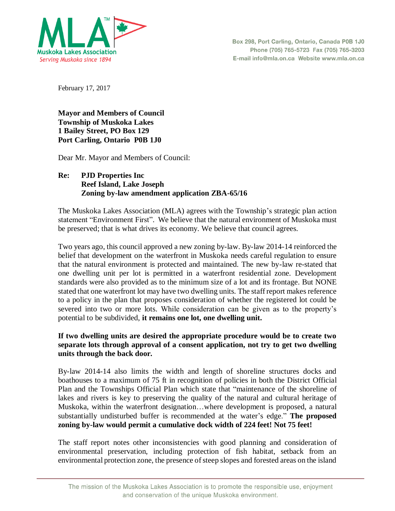

February 17, 2017

**Mayor and Members of Council Township of Muskoka Lakes 1 Bailey Street, PO Box 129 Port Carling, Ontario P0B 1J0**

Dear Mr. Mayor and Members of Council:

## **Re: PJD Properties Inc Reef Island, Lake Joseph Zoning by-law amendment application ZBA-65/16**

The Muskoka Lakes Association (MLA) agrees with the Township's strategic plan action statement "Environment First". We believe that the natural environment of Muskoka must be preserved; that is what drives its economy. We believe that council agrees.

Two years ago, this council approved a new zoning by-law. By-law 2014-14 reinforced the belief that development on the waterfront in Muskoka needs careful regulation to ensure that the natural environment is protected and maintained. The new by-law re-stated that one dwelling unit per lot is permitted in a waterfront residential zone. Development standards were also provided as to the minimum size of a lot and its frontage. But NONE stated that one waterfront lot may have two dwelling units. The staff report makes reference to a policy in the plan that proposes consideration of whether the registered lot could be severed into two or more lots. While consideration can be given as to the property's potential to be subdivided, **it remains one lot, one dwelling unit.**

## **If two dwelling units are desired the appropriate procedure would be to create two separate lots through approval of a consent application, not try to get two dwelling units through the back door.**

By-law 2014-14 also limits the width and length of shoreline structures docks and boathouses to a maximum of 75 ft in recognition of policies in both the District Official Plan and the Townships Official Plan which state that "maintenance of the shoreline of lakes and rivers is key to preserving the quality of the natural and cultural heritage of Muskoka, within the waterfront designation…where development is proposed, a natural substantially undisturbed buffer is recommended at the water's edge." **The proposed zoning by-law would permit a cumulative dock width of 224 feet! Not 75 feet!** 

The staff report notes other inconsistencies with good planning and consideration of environmental preservation, including protection of fish habitat, setback from an environmental protection zone, the presence of steep slopes and forested areas on the island